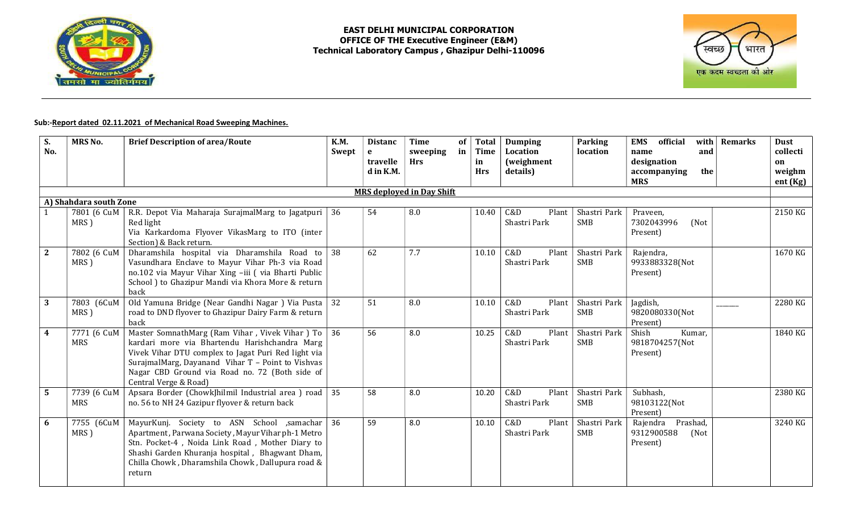

## EAST DELHI MUNICIPAL CORPORATION OFFICE OF THE Executive Engineer (E&M) Technical Laboratory Campus , Ghazipur Delhi-110096



## Sub:-Report dated 02.11.2021 of Mechanical Road Sweeping Machines.

| S.<br>No.              | <b>MRS No.</b>            | <b>Brief Description of area/Route</b>                                                                                                                                                                                                                                                            | <b>K.M.</b><br>Swept | <b>Distanc</b><br>$\mathbf{e}$<br>travelle<br>d in K.M. | <b>Time</b><br>sweeping<br><b>Hrs</b> | of<br><b>Total</b><br>in<br><b>Time</b><br>in<br><b>Hrs</b> | <b>Dumping</b><br>Location<br><i>(weighment</i><br>details) | Parking<br>location        | official<br>with $ $<br><b>EMS</b><br>and<br>name<br>designation<br>accompanying<br>the<br><b>MRS</b> | <b>Remarks</b> | <b>Dust</b><br>collecti<br>on<br>weighm<br>ent (Kg) |
|------------------------|---------------------------|---------------------------------------------------------------------------------------------------------------------------------------------------------------------------------------------------------------------------------------------------------------------------------------------------|----------------------|---------------------------------------------------------|---------------------------------------|-------------------------------------------------------------|-------------------------------------------------------------|----------------------------|-------------------------------------------------------------------------------------------------------|----------------|-----------------------------------------------------|
|                        |                           |                                                                                                                                                                                                                                                                                                   |                      |                                                         | <b>MRS</b> deployed in Day Shift      |                                                             |                                                             |                            |                                                                                                       |                |                                                     |
| A) Shahdara south Zone |                           |                                                                                                                                                                                                                                                                                                   |                      |                                                         |                                       |                                                             |                                                             |                            |                                                                                                       |                |                                                     |
|                        | 7801 (6 CuM<br>MRS)       | R.R. Depot Via Maharaja SurajmalMarg to Jagatpuri<br>Red light<br>Via Karkardoma Flyover VikasMarg to ITO (inter<br>Section) & Back return.                                                                                                                                                       | 36                   | 54                                                      | 8.0                                   | 10.40                                                       | C&D<br>Plant<br>Shastri Park                                | Shastri Park<br>SMB        | Praveen,<br>7302043996<br>(Not<br>Present)                                                            |                | 2150 KG                                             |
| $\mathbf{2}$           | 7802 (6 CuM<br>MRS)       | Dharamshila hospital via Dharamshila Road to<br>Vasundhara Enclave to Mayur Vihar Ph-3 via Road<br>no.102 via Mayur Vihar Xing -iii ( via Bharti Public<br>School ) to Ghazipur Mandi via Khora More & return<br>back                                                                             | 38                   | 62                                                      | 7.7                                   | 10.10                                                       | C&D<br>Plant<br>Shastri Park                                | Shastri Park<br><b>SMB</b> | Rajendra,<br>9933883328(Not<br>Present)                                                               |                | 1670 KG                                             |
| 3                      | 7803 (6CuM<br>MRS)        | Old Yamuna Bridge (Near Gandhi Nagar) Via Pusta<br>road to DND flyover to Ghazipur Dairy Farm & return<br>back                                                                                                                                                                                    | 32                   | 51                                                      | 8.0                                   | 10.10                                                       | C&D<br>Plant<br>Shastri Park                                | Shastri Park<br>SMB        | Jagdish,<br>9820080330(Not<br>Present)                                                                |                | 2280 KG                                             |
| $\boldsymbol{4}$       | 7771 (6 CuM<br><b>MRS</b> | Master SomnathMarg (Ram Vihar, Vivek Vihar) To $\vert$ 36<br>kardari more via Bhartendu Harishchandra Marg<br>Vivek Vihar DTU complex to Jagat Puri Red light via<br>SurajmalMarg, Dayanand Vihar T - Point to Vishvas<br>Nagar CBD Ground via Road no. 72 (Both side of<br>Central Verge & Road) |                      | 56                                                      | 8.0                                   | 10.25                                                       | C&D<br>Plant<br>Shastri Park                                | Shastri Park<br>SMB        | Kumar,<br>Shish<br>9818704257(Not<br>Present)                                                         |                | 1840 KG                                             |
| $5\phantom{1}$         | 7739 (6 CuM<br><b>MRS</b> | Apsara Border (ChowkJhilmil Industrial area) road 35<br>no. 56 to NH 24 Gazipur flyover & return back                                                                                                                                                                                             |                      | 58                                                      | 8.0                                   | 10.20                                                       | C&D<br>Plant<br>Shastri Park                                | Shastri Park<br>SMB        | Subhash,<br>98103122(Not<br>Present)                                                                  |                | 2380 KG                                             |
| 6                      | 7755 (6CuM<br>MRS)        | MayurKunj. Society to ASN School ,samachar<br>Apartment, Parwana Society, Mayur Vihar ph-1 Metro<br>Stn. Pocket-4, Noida Link Road, Mother Diary to<br>Shashi Garden Khuranja hospital, Bhagwant Dham,<br>Chilla Chowk, Dharamshila Chowk, Dallupura road &<br>return                             | 36                   | 59                                                      | 8.0                                   | 10.10                                                       | C&D<br>Plant<br>Shastri Park                                | Shastri Park<br>SMB        | Prashad,<br>Rajendra<br>9312900588<br>(Not<br>Present)                                                |                | 3240 KG                                             |